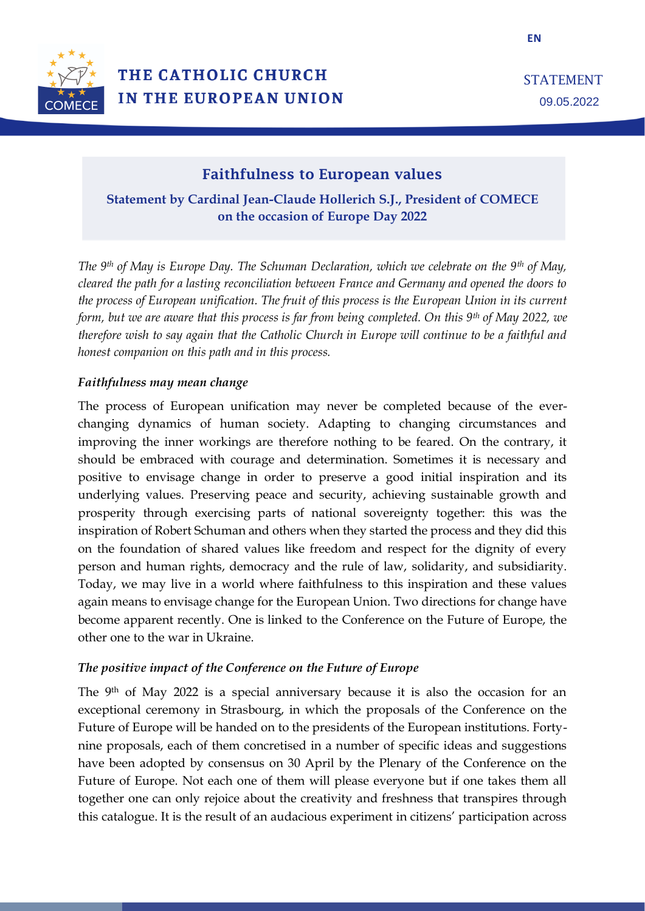

# Faithfulness to European values

**Statement by Cardinal Jean-Claude Hollerich S.J., President of COMECE on the occasion of Europe Day 2022**

*The 9th of May is Europe Day. The Schuman Declaration, which we celebrate on the 9th of May, cleared the path for a lasting reconciliation between France and Germany and opened the doors to the process of European unification. The fruit of this process is the European Union in its current form, but we are aware that this process is far from being completed. On this 9th of May 2022, we therefore wish to say again that the Catholic Church in Europe will continue to be a faithful and honest companion on this path and in this process.* 

### *Faithfulness may mean change*

The process of European unification may never be completed because of the everchanging dynamics of human society. Adapting to changing circumstances and improving the inner workings are therefore nothing to be feared. On the contrary, it should be embraced with courage and determination. Sometimes it is necessary and positive to envisage change in order to preserve a good initial inspiration and its underlying values. Preserving peace and security, achieving sustainable growth and prosperity through exercising parts of national sovereignty together: this was the inspiration of Robert Schuman and others when they started the process and they did this on the foundation of shared values like freedom and respect for the dignity of every person and human rights, democracy and the rule of law, solidarity, and subsidiarity. Today, we may live in a world where faithfulness to this inspiration and these values again means to envisage change for the European Union. Two directions for change have become apparent recently. One is linked to the Conference on the Future of Europe, the other one to the war in Ukraine.

## *The positive impact of the Conference on the Future of Europe*

The 9th of May 2022 is a special anniversary because it is also the occasion for an exceptional ceremony in Strasbourg, in which the proposals of the Conference on the Future of Europe will be handed on to the presidents of the European institutions. Fortynine proposals, each of them concretised in a number of specific ideas and suggestions have been adopted by consensus on 30 April by the Plenary of the Conference on the Future of Europe. Not each one of them will please everyone but if one takes them all together one can only rejoice about the creativity and freshness that transpires through this catalogue. It is the result of an audacious experiment in citizens' participation across